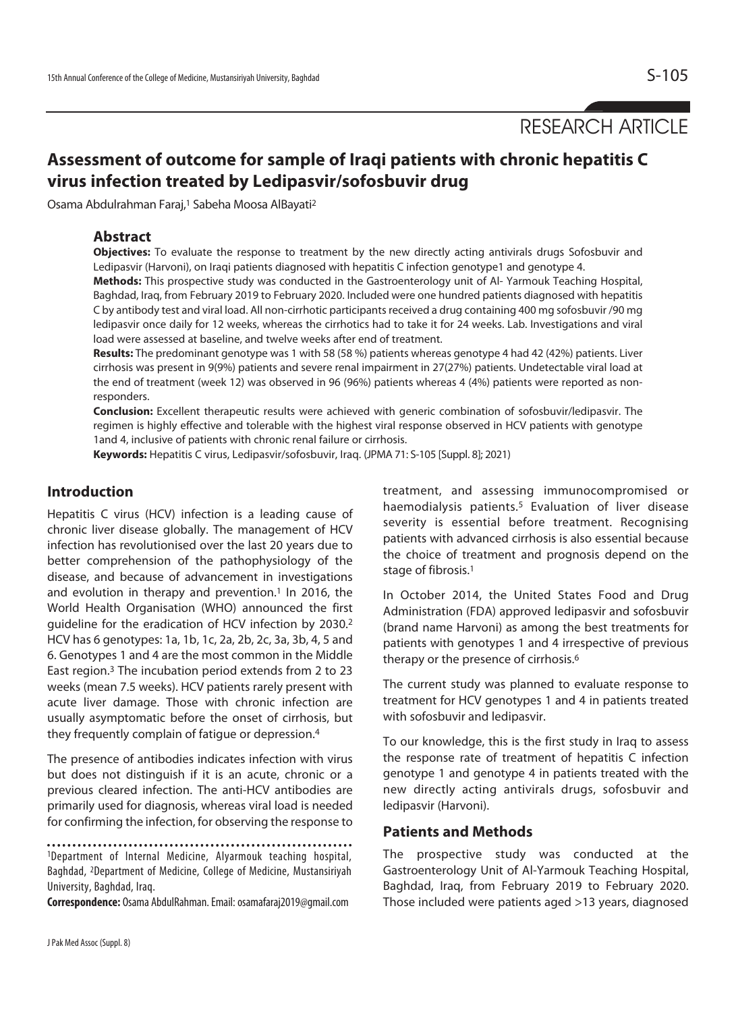RESEARCH ARTICLE

# **Assessment of outcome for sample of Iraqi patients with chronic hepatitis C virus infection treated by Ledipasvir/sofosbuvir drug**

Osama Abdulrahman Faraj,<sup>1</sup> Sabeha Moosa AlBayati<sup>2</sup>

## **Abstract**

**Objectives:** To evaluate the response to treatment by the new directly acting antivirals drugs Sofosbuvir and Ledipasvir (Harvoni), on Iraqi patients diagnosed with hepatitis C infection genotype1 and genotype 4.

**Methods:** This prospective study was conducted in the Gastroenterology unit of Al- Yarmouk Teaching Hospital, Baghdad, Iraq, from February 2019 to February 2020. Included were one hundred patients diagnosed with hepatitis C by antibody test and viral load. All non-cirrhotic participants received a drug containing 400 mg sofosbuvir /90 mg ledipasvir once daily for 12 weeks, whereas the cirrhotics had to take it for 24 weeks. Lab. Investigations and viral load were assessed at baseline, and twelve weeks after end of treatment.

**Results:** The predominant genotype was 1 with 58 (58 %) patients whereas genotype 4 had 42 (42%) patients. Liver cirrhosis was present in 9(9%) patients and severe renal impairment in 27(27%) patients. Undetectable viral load at the end of treatment (week 12) was observed in 96 (96%) patients whereas 4 (4%) patients were reported as nonresponders.

**Conclusion:** Excellent therapeutic results were achieved with generic combination of sofosbuvir/ledipasvir. The regimen is highly effective and tolerable with the highest viral response observed in HCV patients with genotype 1and 4, inclusive of patients with chronic renal failure or cirrhosis.

**Keywords:** Hepatitis C virus, Ledipasvir/sofosbuvir, Iraq. (JPMA 71: S-105 [Suppl. 8]; 2021)

## **Introduction**

Hepatitis C virus (HCV) infection is a leading cause of chronic liver disease globally. The management of HCV infection has revolutionised over the last 20 years due to better comprehension of the pathophysiology of the disease, and because of advancement in investigations and evolution in therapy and prevention.<sup>1</sup> In 2016, the World Health Organisation (WHO) announced the first guideline for the eradication of HCV infection by 2030.2 HCV has 6 genotypes: 1a, 1b, 1c, 2a, 2b, 2c, 3a, 3b, 4, 5 and 6. Genotypes 1 and 4 are the most common in the Middle East region.3 The incubation period extends from 2 to 23 weeks (mean 7.5 weeks). HCV patients rarely present with acute liver damage. Those with chronic infection are usually asymptomatic before the onset of cirrhosis, but they frequently complain of fatigue or depression.4

The presence of antibodies indicates infection with virus but does not distinguish if it is an acute, chronic or a previous cleared infection. The anti-HCV antibodies are primarily used for diagnosis, whereas viral load is needed for confirming the infection, for observing the response to

1Department of Internal Medicine, Alyarmouk teaching hospital, Baghdad, 2Department of Medicine, College of Medicine, Mustansiriyah University, Baghdad, Iraq.

**Correspondence:** Osama AbdulRahman. Email: osamafaraj2019@gmail.com

treatment, and assessing immunocompromised or haemodialysis patients.5 Evaluation of liver disease severity is essential before treatment. Recognising patients with advanced cirrhosis is also essential because the choice of treatment and prognosis depend on the stage of fibrosis.1

In October 2014, the United States Food and Drug Administration (FDA) approved ledipasvir and sofosbuvir (brand name Harvoni) as among the best treatments for patients with genotypes 1 and 4 irrespective of previous therapy or the presence of cirrhosis.6

The current study was planned to evaluate response to treatment for HCV genotypes 1 and 4 in patients treated with sofosbuvir and ledipasvir.

To our knowledge, this is the first study in Iraq to assess the response rate of treatment of hepatitis C infection genotype 1 and genotype 4 in patients treated with the new directly acting antivirals drugs, sofosbuvir and ledipasvir (Harvoni).

## **Patients and Methods**

The prospective study was conducted at the Gastroenterology Unit of Al-Yarmouk Teaching Hospital, Baghdad, Iraq, from February 2019 to February 2020. Those included were patients aged >13 years, diagnosed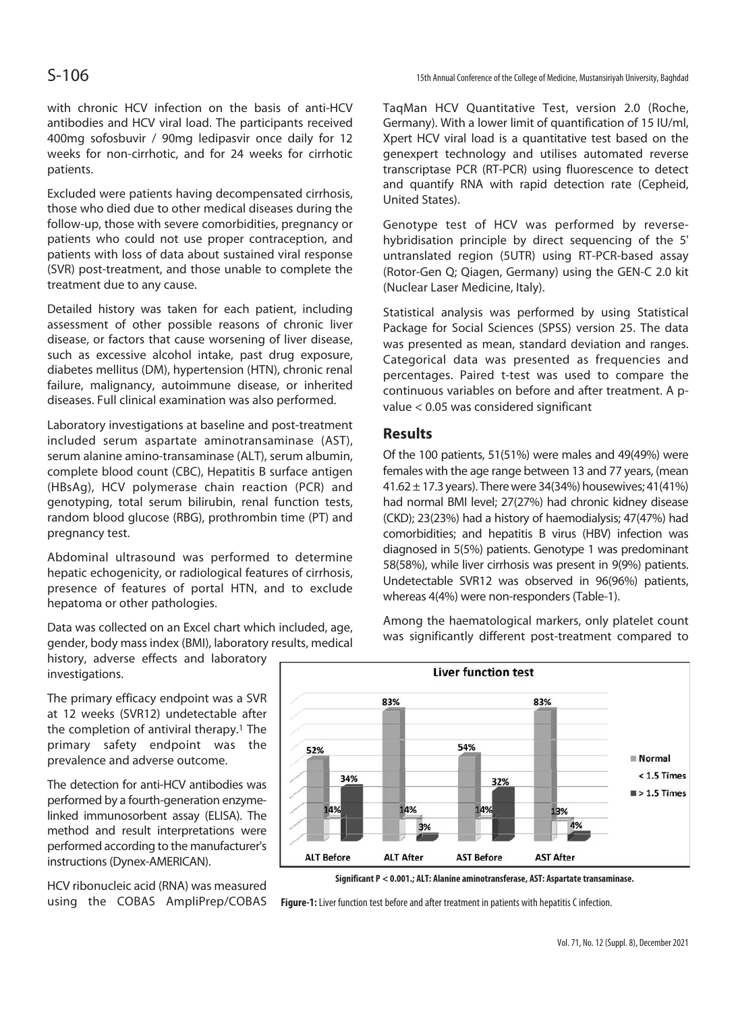with chronic HCV infection on the basis of anti-HCV antibodies and HCV viral load. The participants received 400mg sofosbuvir / 90mg ledipasvir once daily for 12 weeks for non-cirrhotic, and for 24 weeks for cirrhotic patients.

Excluded were patients having decompensated cirrhosis, those who died due to other medical diseases during the follow-up, those with severe comorbidities, pregnancy or patients who could not use proper contraception, and patients with loss of data about sustained viral response (SVR) post-treatment, and those unable to complete the treatment due to any cause.

Detailed history was taken for each patient, including assessment of other possible reasons of chronic liver disease, or factors that cause worsening of liver disease, such as excessive alcohol intake, past drug exposure, diabetes mellitus (DM), hypertension (HTN), chronic renal failure, malignancy, autoimmune disease, or inherited diseases. Full clinical examination was also performed.

Laboratory investigations at baseline and post-treatment included serum aspartate aminotransaminase (AST), serum alanine amino-transaminase (ALT), serum albumin, complete blood count (CBC), Hepatitis B surface antigen (HBsAg), HCV polymerase chain reaction (PCR) and genotyping, total serum bilirubin, renal function tests, random blood glucose (RBG), prothrombin time (PT) and pregnancy test.

Abdominal ultrasound was performed to determine hepatic echogenicity, or radiological features of cirrhosis, presence of features of portal HTN, and to exclude hepatoma or other pathologies.

Data was collected on an Excel chart which included, age, gender, body mass index (BMI), laboratory results, medical

history, adverse effects and laboratory investigations.

The primary efficacy endpoint was a SVR at 12 weeks (SVR12) undetectable after the completion of antiviral therapy.<sup>1</sup> The primary safety endpoint was the prevalence and adverse outcome.

The detection for anti-HCV antibodies was performed by a fourth-generation enzymelinked immunosorbent assay (ELISA). The method and result interpretations were performed according to the manufacturer's instructions (Dynex-AMERICAN).

HCV ribonucleic acid (RNA) was measured using the COBAS AmpliPrep/COBAS TaqMan HCV Quantitative Test, version 2.0 (Roche, Germany). With a lower limit of quantification of 15 IU/ml, Xpert HCV viral load is a quantitative test based on the genexpert technology and utilises automated reverse transcriptase PCR (RT-PCR) using fluorescence to detect and quantify RNA with rapid detection rate (Cepheid, United States).

Genotype test of HCV was performed by reversehybridisation principle by direct sequencing of the 5' untranslated region (5UTR) using RT-PCR-based assay (Rotor-Gen Q; Qiagen, Germany) using the GEN-C 2.0 kit (Nuclear Laser Medicine, Italy).

Statistical analysis was performed by using Statistical Package for Social Sciences (SPSS) version 25. The data was presented as mean, standard deviation and ranges. Categorical data was presented as frequencies and percentages. Paired t-test was used to compare the continuous variables on before and after treatment. A pvalue < 0.05 was considered significant

## **Results**

Of the 100 patients, 51(51%) were males and 49(49%) were females with the age range between 13 and 77 years, (mean 41.62  $\pm$  17.3 years). There were 34(34%) housewives; 41(41%) had normal BMI level; 27(27%) had chronic kidney disease (CKD); 23(23%) had a history of haemodialysis; 47(47%) had comorbidities; and hepatitis B virus (HBV) infection was diagnosed in 5(5%) patients. Genotype 1 was predominant 58(58%), while liver cirrhosis was present in 9(9%) patients. Undetectable SVR12 was observed in 96(96%) patients, whereas 4(4%) were non-responders (Table-1).

Among the haematological markers, only platelet count was significantly different post-treatment compared to



**Significant P < 0.001.; ALT: Alanine aminotransferase, AST: Aspartate transaminase.** 

**Figure-1:** Liver function test before and after treatment in patients with hepatitis C infection.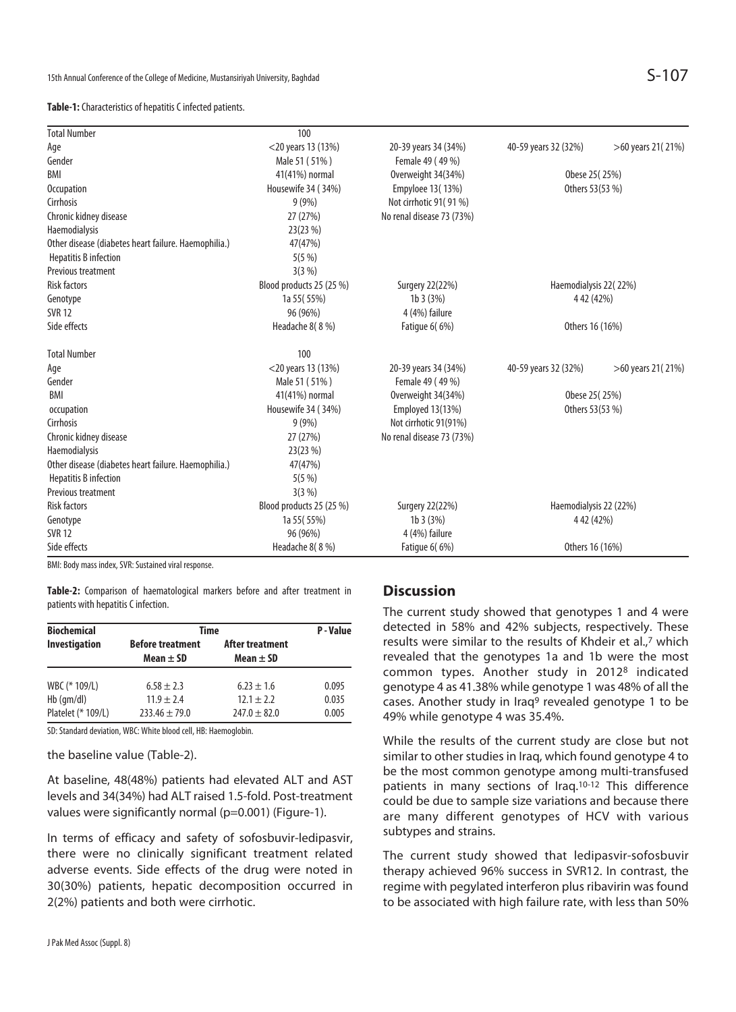#### **Table-1:** Characteristics of hepatitis C infected patients.

| <b>Total Number</b>                                  | 100                      |                           |                        |                   |
|------------------------------------------------------|--------------------------|---------------------------|------------------------|-------------------|
| Age                                                  | $<$ 20 years 13 (13%)    | 20-39 years 34 (34%)      | 40-59 years 32 (32%)   | >60 years 21(21%) |
| Gender                                               | Male 51 (51%)            | Female 49 (49 %)          |                        |                   |
| BMI                                                  | 41(41%) normal           | Overweight 34(34%)        | Obese 25 (25%)         |                   |
| Occupation                                           | Housewife 34 (34%)       | Empyloee 13(13%)          | Others 53(53 %)        |                   |
| Cirrhosis                                            | 9(9%)                    | Not cirrhotic 91(91%)     |                        |                   |
| Chronic kidney disease                               | 27 (27%)                 | No renal disease 73 (73%) |                        |                   |
| Haemodialysis                                        | 23(23 %)                 |                           |                        |                   |
| Other disease (diabetes heart failure. Haemophilia.) | 47(47%)                  |                           |                        |                   |
| <b>Hepatitis B infection</b>                         | 5(5%)                    |                           |                        |                   |
| Previous treatment                                   | $3(3\%)$                 |                           |                        |                   |
| <b>Risk factors</b>                                  | Blood products 25 (25 %) | Surgery 22(22%)           | Haemodialysis 22(22%)  |                   |
| Genotype                                             | 1a 55 (55%)              | 1b3(3%)                   | 4 42 (42%)             |                   |
| <b>SVR 12</b>                                        | 96 (96%)                 | 4 (4%) failure            |                        |                   |
| Side effects                                         | Headache 8(8 %)          | <b>Fatigue 6(6%)</b>      | Others 16 (16%)        |                   |
| <b>Total Number</b>                                  | 100                      |                           |                        |                   |
| Age                                                  | <20 years 13 (13%)       | 20-39 years 34 (34%)      | 40-59 years 32 (32%)   | >60 years 21(21%) |
| Gender                                               | Male 51 (51%)            | Female 49 (49 %)          |                        |                   |
| BMI                                                  | 41(41%) normal           | Overweight 34(34%)        | Obese 25 (25%)         |                   |
| occupation                                           | Housewife 34 (34%)       | <b>Employed 13(13%)</b>   | Others 53(53 %)        |                   |
| Cirrhosis                                            | 9(9%)                    | Not cirrhotic 91(91%)     |                        |                   |
| Chronic kidney disease                               | 27 (27%)                 | No renal disease 73 (73%) |                        |                   |
| Haemodialysis                                        | 23(23 %)                 |                           |                        |                   |
| Other disease (diabetes heart failure. Haemophilia.) | 47(47%)                  |                           |                        |                   |
| <b>Hepatitis B infection</b>                         | 5(5%)                    |                           |                        |                   |
| Previous treatment                                   | $3(3\%)$                 |                           |                        |                   |
| <b>Risk factors</b>                                  | Blood products 25 (25 %) | Surgery 22(22%)           | Haemodialysis 22 (22%) |                   |
| Genotype                                             | 1a 55 (55%)              | 1b 3 (3%)                 | 4 42 (42%)             |                   |
| <b>SVR 12</b>                                        | 96 (96%)                 | 4 (4%) failure            |                        |                   |
| Side effects                                         | Headache 8(8 %)          | <b>Fatigue 6(6%)</b>      | Others 16 (16%)        |                   |

BMI: Body mass index, SVR: Sustained viral response.

**Table-2:** Comparison of haematological markers before and after treatment in patients with hepatitis C infection.

| <b>Biochemical</b>   | Time                                     | P-Value                          |       |
|----------------------|------------------------------------------|----------------------------------|-------|
| <b>Investigation</b> | <b>Before treatment</b><br>Mean $\pm$ SD | After treatment<br>Mean $\pm$ SD |       |
| WBC (* 109/L)        | $6.58 \pm 2.3$                           | $6.23 + 1.6$                     | 0.095 |
| $Hb$ (gm/dl)         | $11.9 + 2.4$                             | $12.1 + 2.2$                     | 0.035 |
| Platelet (* 109/L)   | $733.46 + 79.0$                          | $247.0 \pm 82.0$                 | 0.005 |

SD: Standard deviation, WBC: White blood cell, HB: Haemoglobin.

the baseline value (Table-2).

At baseline, 48(48%) patients had elevated ALT and AST levels and 34(34%) had ALT raised 1.5-fold. Post-treatment values were significantly normal (p=0.001) (Figure-1).

In terms of efficacy and safety of sofosbuvir-ledipasvir, there were no clinically significant treatment related adverse events. Side effects of the drug were noted in 30(30%) patients, hepatic decomposition occurred in 2(2%) patients and both were cirrhotic.

## **Discussion**

The current study showed that genotypes 1 and 4 were detected in 58% and 42% subjects, respectively. These results were similar to the results of Khdeir et al.,7 which revealed that the genotypes 1a and 1b were the most common types. Another study in 20128 indicated genotype 4 as 41.38% while genotype 1 was 48% of all the cases. Another study in Iraq<sup>9</sup> revealed genotype 1 to be 49% while genotype 4 was 35.4%.

While the results of the current study are close but not similar to other studies in Iraq, which found genotype 4 to be the most common genotype among multi-transfused patients in many sections of Iraq.10-12 This difference could be due to sample size variations and because there are many different genotypes of HCV with various subtypes and strains.

The current study showed that ledipasvir-sofosbuvir therapy achieved 96% success in SVR12. In contrast, the regime with pegylated interferon plus ribavirin was found to be associated with high failure rate, with less than 50%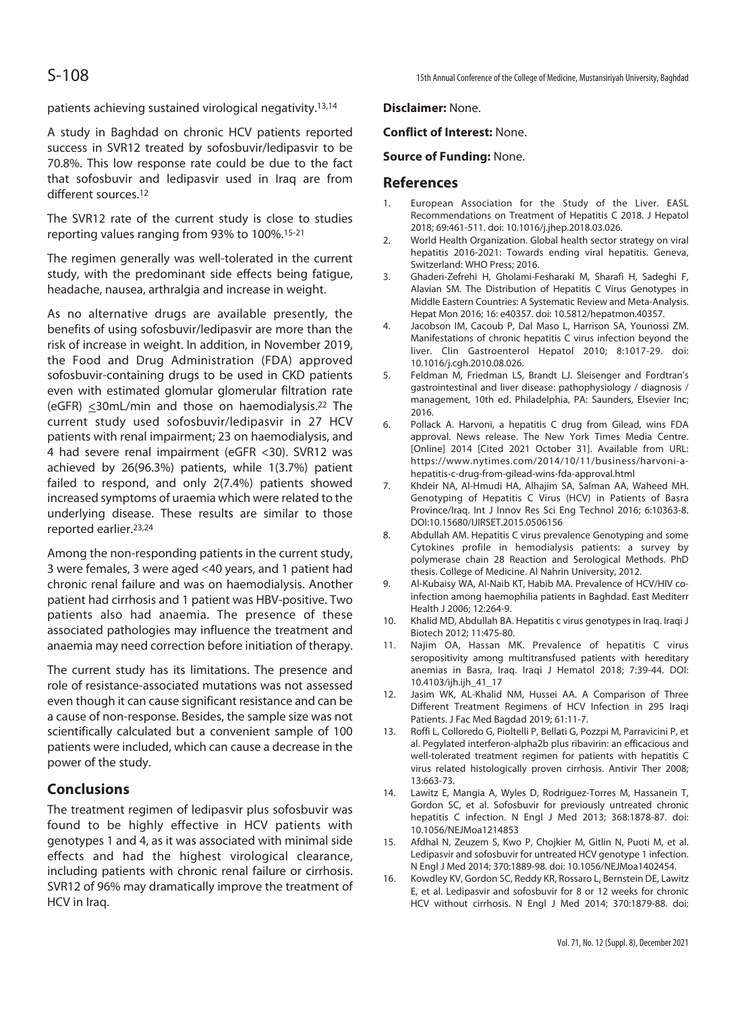patients achieving sustained virological negativity.13,14

A study in Baghdad on chronic HCV patients reported success in SVR12 treated by sofosbuvir/ledipasvir to be 70.8%. This low response rate could be due to the fact that sofosbuvir and ledipasvir used in Iraq are from different sources.<sup>12</sup>

The SVR12 rate of the current study is close to studies reporting values ranging from 93% to 100%.15-21

The regimen generally was well-tolerated in the current study, with the predominant side effects being fatigue, headache, nausea, arthralgia and increase in weight.

As no alternative drugs are available presently, the benefits of using sofosbuvir/ledipasvir are more than the risk of increase in weight. In addition, in November 2019, the Food and Drug Administration (FDA) approved sofosbuvir-containing drugs to be used in CKD patients even with estimated glomular glomerular filtration rate (eGFR)  $\leq$ 30mL/min and those on haemodialysis.<sup>22</sup> The current study used sofosbuvir/ledipasvir in 27 HCV patients with renal impairment; 23 on haemodialysis, and 4 had severe renal impairment (eGFR <30). SVR12 was achieved by 26(96.3%) patients, while 1(3.7%) patient failed to respond, and only 2(7.4%) patients showed increased symptoms of uraemia which were related to the underlying disease. These results are similar to those reported earlier.23,24

Among the non-responding patients in the current study, 3 were females, 3 were aged <40 years, and 1 patient had chronic renal failure and was on haemodialysis. Another patient had cirrhosis and 1 patient was HBV-positive. Two patients also had anaemia. The presence of these associated pathologies may influence the treatment and anaemia may need correction before initiation of therapy.

The current study has its limitations. The presence and role of resistance-associated mutations was not assessed even though it can cause significant resistance and can be a cause of non-response. Besides, the sample size was not scientifically calculated but a convenient sample of 100 patients were included, which can cause a decrease in the power of the study.

## **Conclusions**

The treatment regimen of ledipasvir plus sofosbuvir was found to be highly effective in HCV patients with genotypes 1 and 4, as it was associated with minimal side effects and had the highest virological clearance, including patients with chronic renal failure or cirrhosis. SVR12 of 96% may dramatically improve the treatment of HCV in Iraq.

**Disclaimer:** None.

## **Conflict of Interest:** None.

### **Source of Funding:** None.

## **References**

- 1. European Association for the Study of the Liver. EASL Recommendations on Treatment of Hepatitis C 2018. J Hepatol 2018; 69:461-511. doi: 10.1016/j.jhep.2018.03.026.
- 2. World Health Organization. Global health sector strategy on viral hepatitis 2016-2021: Towards ending viral hepatitis. Geneva, Switzerland: WHO Press; 2016.
- 3. Ghaderi-Zefrehi H, Gholami-Fesharaki M, Sharafi H, Sadeghi F, Alavian SM. The Distribution of Hepatitis C Virus Genotypes in Middle Eastern Countries: A Systematic Review and Meta-Analysis. Hepat Mon 2016; 16: e40357. doi: 10.5812/hepatmon.40357.
- 4. Jacobson IM, Cacoub P, Dal Maso L, Harrison SA, Younossi ZM. Manifestations of chronic hepatitis C virus infection beyond the liver. Clin Gastroenterol Hepatol 2010; 8:1017-29. doi: 10.1016/j.cgh.2010.08.026.
- 5. Feldman M, Friedman LS, Brandt LJ. Sleisenger and Fordtran's gastrointestinal and liver disease: pathophysiology / diagnosis / management, 10th ed. Philadelphia, PA: Saunders, Elsevier Inc; 2016.
- 6. Pollack A. Harvoni, a hepatitis C drug from Gilead, wins FDA approval. News release. The New York Times Media Centre. [Online] 2014 [Cited 2021 October 31]. Available from URL: https://www.nytimes.com/2014/10/11/business/harvoni-ahepatitis-c-drug-from-gilead-wins-fda-approval.html
- 7. Khdeir NA, Al-Hmudi HA, Alhajim SA, Salman AA, Waheed MH. Genotyping of Hepatitis C Virus (HCV) in Patients of Basra Province/Iraq. Int J Innov Res Sci Eng Technol 2016; 6:10363-8. DOI:10.15680/IJIRSET.2015.0506156
- 8. Abdullah AM. Hepatitis C virus prevalence Genotyping and some Cytokines profile in hemodialysis patients: a survey by polymerase chain 28 Reaction and Serological Methods. PhD thesis. College of Medicine. Al Nahrin University, 2012.
- 9. Al-Kubaisy WA, Al-Naib KT, Habib MA. Prevalence of HCV/HIV coinfection among haemophilia patients in Baghdad. East Mediterr Health J 2006; 12:264-9.
- 10. Khalid MD, Abdullah BA. Hepatitis c virus genotypes in Iraq. Iraqi J Biotech 2012; 11:475-80.
- 11. Najim OA, Hassan MK. Prevalence of hepatitis C virus seropositivity among multitransfused patients with hereditary anemias in Basra, Iraq. Iraqi J Hematol 2018; 7:39-44. DOI: 10.4103/ijh.ijh\_41\_17
- 12. Jasim WK, AL-Khalid NM, Hussei AA. A Comparison of Three Different Treatment Regimens of HCV Infection in 295 Iraqi Patients. J Fac Med Bagdad 2019; 61:11-7.
- 13. Roffi L, Colloredo G, Pioltelli P, Bellati G, Pozzpi M, Parravicini P, et al. Pegylated interferon-alpha2b plus ribavirin: an efficacious and well-tolerated treatment regimen for patients with hepatitis C virus related histologically proven cirrhosis. Antivir Ther 2008; 13:663-73.
- 14. Lawitz E, Mangia A, Wyles D, Rodriguez-Torres M, Hassanein T, Gordon SC, et al. Sofosbuvir for previously untreated chronic hepatitis C infection. N Engl J Med 2013; 368:1878-87. doi: 10.1056/NEJMoa1214853
- 15. Afdhal N, Zeuzem S, Kwo P, Chojkier M, Gitlin N, Puoti M, et al. Ledipasvir and sofosbuvir for untreated HCV genotype 1 infection. N Engl J Med 2014; 370:1889-98. doi: 10.1056/NEJMoa1402454.
- 16. Kowdley KV, Gordon SC, Reddy KR, Rossaro L, Bernstein DE, Lawitz E, et al. Ledipasvir and sofosbuvir for 8 or 12 weeks for chronic HCV without cirrhosis. N Engl J Med 2014; 370:1879-88. doi: